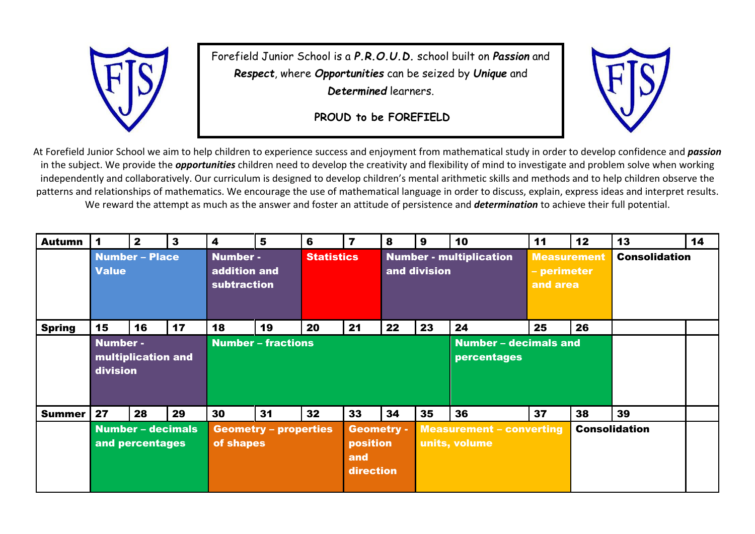

Forefield Junior School is a *P.R.O.U.D.* school built on *Passion* and *Respect*, where *Opportunities* can be seized by *Unique* and *Determined* learners.

**PROUD to be FOREFIELD**



At Forefield Junior School we aim to help children to experience success and enjoyment from mathematical study in order to develop confidence and *passion* in the subject. We provide the *opportunities* children need to develop the creativity and flexibility of mind to investigate and problem solve when working independently and collaboratively. Our curriculum is designed to develop children's mental arithmetic skills and methods and to help children observe the patterns and relationships of mathematics. We encourage the use of mathematical language in order to discuss, explain, express ideas and interpret results. We reward the attempt as much as the answer and foster an attitude of persistence and *determination* to achieve their full potential.

| <b>Autumn</b> |                                                   | $\mathbf{2}$ | 3  | $\overline{\mathbf{4}}$                               | 5  | 6                                                 | $\overline{\mathbf{z}}$ | 8  | 9                                                | 10 | 11                                            | 12 | 13                   | 14 |
|---------------|---------------------------------------------------|--------------|----|-------------------------------------------------------|----|---------------------------------------------------|-------------------------|----|--------------------------------------------------|----|-----------------------------------------------|----|----------------------|----|
|               | <b>Number - Place</b><br><b>Value</b>             |              |    | <b>Number -</b><br>addition and<br><b>subtraction</b> |    |                                                   | <b>Statistics</b>       |    | <b>Number - multiplication</b><br>and division   |    | <b>Measurement</b><br>- perimeter<br>and area |    | <b>Consolidation</b> |    |
| <b>Spring</b> | 15                                                | 16           | 17 | 18                                                    | 19 | 20                                                | 21                      | 22 | 23                                               | 24 | 25                                            | 26 |                      |    |
|               | <b>Number -</b><br>multiplication and<br>division |              |    | <b>Number - fractions</b>                             |    |                                                   |                         |    | <b>Number - decimals and</b><br>percentages      |    |                                               |    |                      |    |
| <b>Summer</b> | 27                                                | 28           | 29 | 30                                                    | 31 | 32                                                | 33                      | 34 | 35                                               | 36 | 37                                            | 38 | 39                   |    |
|               | <b>Number - decimals</b><br>and percentages       |              |    | <b>Geometry - properties</b><br>of shapes             |    | <b>Geometry -</b><br>position<br>and<br>direction |                         |    | <b>Measurement - converting</b><br>units, volume |    | <b>Consolidation</b>                          |    |                      |    |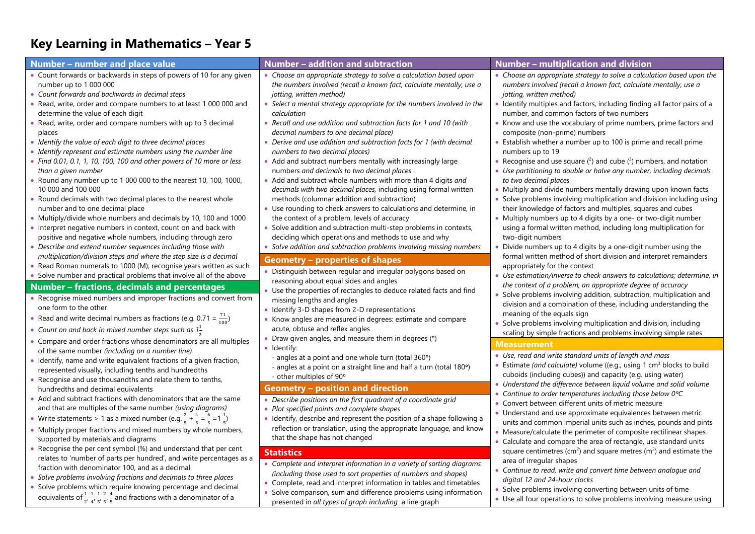## **Key Learning in Mathematics – Year 5**

| Number - number and place value                                                                                                                                                                                                                                                                                                                                                             | Number - addition and subtraction                                                                                                                                                                                                                                                                                                         | <b>Number - multiplication and division</b>                                                                                                                                                                                                                                                                                                                                                                                                                                |
|---------------------------------------------------------------------------------------------------------------------------------------------------------------------------------------------------------------------------------------------------------------------------------------------------------------------------------------------------------------------------------------------|-------------------------------------------------------------------------------------------------------------------------------------------------------------------------------------------------------------------------------------------------------------------------------------------------------------------------------------------|----------------------------------------------------------------------------------------------------------------------------------------------------------------------------------------------------------------------------------------------------------------------------------------------------------------------------------------------------------------------------------------------------------------------------------------------------------------------------|
| • Count forwards or backwards in steps of powers of 10 for any given                                                                                                                                                                                                                                                                                                                        | • Choose an appropriate strategy to solve a calculation based upon                                                                                                                                                                                                                                                                        | • Choose an appropriate strategy to solve a calculation based upon the                                                                                                                                                                                                                                                                                                                                                                                                     |
| number up to 1 000 000                                                                                                                                                                                                                                                                                                                                                                      | the numbers involved (recall a known fact, calculate mentally, use a                                                                                                                                                                                                                                                                      | numbers involved (recall a known fact, calculate mentally, use a                                                                                                                                                                                                                                                                                                                                                                                                           |
| • Count forwards and backwards in decimal steps                                                                                                                                                                                                                                                                                                                                             | jotting, written method)                                                                                                                                                                                                                                                                                                                  | jotting, written method)                                                                                                                                                                                                                                                                                                                                                                                                                                                   |
| • Read, write, order and compare numbers to at least 1 000 000 and                                                                                                                                                                                                                                                                                                                          | • Select a mental strategy appropriate for the numbers involved in the                                                                                                                                                                                                                                                                    | • Identify multiples and factors, including finding all factor pairs of a                                                                                                                                                                                                                                                                                                                                                                                                  |
| determine the value of each digit                                                                                                                                                                                                                                                                                                                                                           | calculation                                                                                                                                                                                                                                                                                                                               | number, and common factors of two numbers                                                                                                                                                                                                                                                                                                                                                                                                                                  |
| • Read, write, order and compare numbers with up to 3 decimal                                                                                                                                                                                                                                                                                                                               | • Recall and use addition and subtraction facts for 1 and 10 (with                                                                                                                                                                                                                                                                        | • Know and use the vocabulary of prime numbers, prime factors and                                                                                                                                                                                                                                                                                                                                                                                                          |
| places                                                                                                                                                                                                                                                                                                                                                                                      | decimal numbers to one decimal place)                                                                                                                                                                                                                                                                                                     | composite (non-prime) numbers                                                                                                                                                                                                                                                                                                                                                                                                                                              |
| • Identify the value of each digit to three decimal places                                                                                                                                                                                                                                                                                                                                  | Derive and use addition and subtraction facts for 1 (with decimal                                                                                                                                                                                                                                                                         | • Establish whether a number up to 100 is prime and recall prime                                                                                                                                                                                                                                                                                                                                                                                                           |
| • Identify represent and estimate numbers using the number line                                                                                                                                                                                                                                                                                                                             | numbers to two decimal places)                                                                                                                                                                                                                                                                                                            | numbers up to 19                                                                                                                                                                                                                                                                                                                                                                                                                                                           |
| • Find 0.01, 0.1, 1, 10, 100, 100 and other powers of 10 more or less                                                                                                                                                                                                                                                                                                                       | • Add and subtract numbers mentally with increasingly large                                                                                                                                                                                                                                                                               | • Recognise and use square $(2)$ and cube $(3)$ numbers, and notation                                                                                                                                                                                                                                                                                                                                                                                                      |
| than a given number                                                                                                                                                                                                                                                                                                                                                                         | numbers and decimals to two decimal places                                                                                                                                                                                                                                                                                                | • Use partitioning to double or halve any number, including decimals                                                                                                                                                                                                                                                                                                                                                                                                       |
| • Round any number up to 1 000 000 to the nearest 10, 100, 1000,                                                                                                                                                                                                                                                                                                                            | • Add and subtract whole numbers with more than 4 digits and                                                                                                                                                                                                                                                                              | to two decimal places                                                                                                                                                                                                                                                                                                                                                                                                                                                      |
| 10 000 and 100 000                                                                                                                                                                                                                                                                                                                                                                          | decimals with two decimal places, including using formal written                                                                                                                                                                                                                                                                          | • Multiply and divide numbers mentally drawing upon known facts                                                                                                                                                                                                                                                                                                                                                                                                            |
| • Round decimals with two decimal places to the nearest whole                                                                                                                                                                                                                                                                                                                               | methods (columnar addition and subtraction)                                                                                                                                                                                                                                                                                               | Solve problems involving multiplication and division including using                                                                                                                                                                                                                                                                                                                                                                                                       |
| number and to one decimal place                                                                                                                                                                                                                                                                                                                                                             | • Use rounding to check answers to calculations and determine, in                                                                                                                                                                                                                                                                         | their knowledge of factors and multiples, squares and cubes                                                                                                                                                                                                                                                                                                                                                                                                                |
| • Multiply/divide whole numbers and decimals by 10, 100 and 1000                                                                                                                                                                                                                                                                                                                            | the context of a problem, levels of accuracy                                                                                                                                                                                                                                                                                              | • Multiply numbers up to 4 digits by a one- or two-digit number                                                                                                                                                                                                                                                                                                                                                                                                            |
| • Interpret negative numbers in context, count on and back with                                                                                                                                                                                                                                                                                                                             | • Solve addition and subtraction multi-step problems in contexts,                                                                                                                                                                                                                                                                         | using a formal written method, including long multiplication for                                                                                                                                                                                                                                                                                                                                                                                                           |
| positive and negative whole numbers, including through zero                                                                                                                                                                                                                                                                                                                                 | deciding which operations and methods to use and why                                                                                                                                                                                                                                                                                      | two-digit numbers                                                                                                                                                                                                                                                                                                                                                                                                                                                          |
| • Describe and extend number sequences including those with                                                                                                                                                                                                                                                                                                                                 | • Solve addition and subtraction problems involving missing numbers                                                                                                                                                                                                                                                                       | Divide numbers up to 4 digits by a one-digit number using the                                                                                                                                                                                                                                                                                                                                                                                                              |
| multiplication/division steps and where the step size is a decimal                                                                                                                                                                                                                                                                                                                          | <b>Geometry - properties of shapes</b>                                                                                                                                                                                                                                                                                                    | formal written method of short division and interpret remainders                                                                                                                                                                                                                                                                                                                                                                                                           |
| • Read Roman numerals to 1000 (M); recognise years written as such                                                                                                                                                                                                                                                                                                                          | Distinguish between regular and irregular polygons based on                                                                                                                                                                                                                                                                               | appropriately for the context                                                                                                                                                                                                                                                                                                                                                                                                                                              |
| • Solve number and practical problems that involve all of the above                                                                                                                                                                                                                                                                                                                         | reasoning about equal sides and angles                                                                                                                                                                                                                                                                                                    | • Use estimation/inverse to check answers to calculations; determine, in                                                                                                                                                                                                                                                                                                                                                                                                   |
| Number – fractions, decimals and percentages                                                                                                                                                                                                                                                                                                                                                | • Use the properties of rectangles to deduce related facts and find                                                                                                                                                                                                                                                                       | the context of a problem, an appropriate degree of accuracy                                                                                                                                                                                                                                                                                                                                                                                                                |
| • Recognise mixed numbers and improper fractions and convert from                                                                                                                                                                                                                                                                                                                           | missing lengths and angles                                                                                                                                                                                                                                                                                                                | Solve problems involving addition, subtraction, multiplication and                                                                                                                                                                                                                                                                                                                                                                                                         |
| one form to the other                                                                                                                                                                                                                                                                                                                                                                       | • Identify 3-D shapes from 2-D representations                                                                                                                                                                                                                                                                                            | division and a combination of these, including understanding the                                                                                                                                                                                                                                                                                                                                                                                                           |
| • Read and write decimal numbers as fractions (e.g. 0.71 = $\frac{71}{100}$ )                                                                                                                                                                                                                                                                                                               | Know angles are measured in degrees: estimate and compare                                                                                                                                                                                                                                                                                 | meaning of the equals sign                                                                                                                                                                                                                                                                                                                                                                                                                                                 |
| • Count on and back in mixed number steps such as $1\frac{1}{2}$                                                                                                                                                                                                                                                                                                                            | acute, obtuse and reflex angles                                                                                                                                                                                                                                                                                                           | • Solve problems involving multiplication and division, including                                                                                                                                                                                                                                                                                                                                                                                                          |
| • Compare and order fractions whose denominators are all multiples                                                                                                                                                                                                                                                                                                                          | • Draw given angles, and measure them in degrees (°)                                                                                                                                                                                                                                                                                      | scaling by simple fractions and problems involving simple rates                                                                                                                                                                                                                                                                                                                                                                                                            |
| of the same number (including on a number line)                                                                                                                                                                                                                                                                                                                                             | · Identify:                                                                                                                                                                                                                                                                                                                               | <b>Measurement</b>                                                                                                                                                                                                                                                                                                                                                                                                                                                         |
| • Identify, name and write equivalent fractions of a given fraction,                                                                                                                                                                                                                                                                                                                        | - angles at a point and one whole turn (total 360°)                                                                                                                                                                                                                                                                                       | • Use, read and write standard units of length and mass                                                                                                                                                                                                                                                                                                                                                                                                                    |
| represented visually, including tenths and hundredths                                                                                                                                                                                                                                                                                                                                       | - angles at a point on a straight line and half a turn (total 180°)                                                                                                                                                                                                                                                                       | Estimate (and calculate) volume ((e.g., using 1 $cm3$ blocks to build                                                                                                                                                                                                                                                                                                                                                                                                      |
| • Recognise and use thousandths and relate them to tenths,                                                                                                                                                                                                                                                                                                                                  | - other multiples of 90°                                                                                                                                                                                                                                                                                                                  | cuboids (including cubes)) and capacity (e.g. using water)                                                                                                                                                                                                                                                                                                                                                                                                                 |
| hundredths and decimal equivalents<br>• Add and subtract fractions with denominators that are the same<br>and that are multiples of the same number (using diagrams)<br>• Write statements > 1 as a mixed number (e.g. $\frac{2}{5} + \frac{4}{5} = \frac{6}{5} = 1\frac{1}{5}$ )<br>• Multiply proper fractions and mixed numbers by whole numbers,<br>supported by materials and diagrams | <b>Geometry - position and direction</b><br>Describe positions on the first quadrant of a coordinate grid<br>Plot specified points and complete shapes<br>• Identify, describe and represent the position of a shape following a<br>reflection or translation, using the appropriate language, and know<br>that the shape has not changed | • Understand the difference between liquid volume and solid volume<br>• Continue to order temperatures including those below $0^{\circ}C$<br>Convert between different units of metric measure<br>• Understand and use approximate equivalences between metric<br>units and common imperial units such as inches, pounds and pints<br>• Measure/calculate the perimeter of composite rectilinear shapes<br>Calculate and compare the area of rectangle, use standard units |
| • Recognise the per cent symbol (%) and understand that per cent                                                                                                                                                                                                                                                                                                                            | <b>Statistics</b>                                                                                                                                                                                                                                                                                                                         | square centimetres ( $cm2$ ) and square metres ( $m2$ ) and estimate the                                                                                                                                                                                                                                                                                                                                                                                                   |
| relates to 'number of parts per hundred', and write percentages as a                                                                                                                                                                                                                                                                                                                        | • Complete and interpret information in a variety of sorting diagrams                                                                                                                                                                                                                                                                     | area of irregular shapes                                                                                                                                                                                                                                                                                                                                                                                                                                                   |
| fraction with denominator 100, and as a decimal                                                                                                                                                                                                                                                                                                                                             | (including those used to sort properties of numbers and shapes)                                                                                                                                                                                                                                                                           | Continue to read, write and convert time between analogue and                                                                                                                                                                                                                                                                                                                                                                                                              |
| • Solve problems involving fractions and decimals to three places                                                                                                                                                                                                                                                                                                                           | • Complete, read and interpret information in tables and timetables                                                                                                                                                                                                                                                                       | digital 12 and 24-hour clocks                                                                                                                                                                                                                                                                                                                                                                                                                                              |
| • Solve problems which require knowing percentage and decimal                                                                                                                                                                                                                                                                                                                               | • Solve comparison, sum and difference problems using information                                                                                                                                                                                                                                                                         | • Solve problems involving converting between units of time                                                                                                                                                                                                                                                                                                                                                                                                                |
| equivalents of $\frac{1}{2}$ , $\frac{1}{4}$ , $\frac{1}{5}$ , $\frac{2}{5}$ , $\frac{4}{5}$ and fractions with a denominator of a                                                                                                                                                                                                                                                          | presented in all types of graph including a line graph                                                                                                                                                                                                                                                                                    | • Use all four operations to solve problems involving measure using                                                                                                                                                                                                                                                                                                                                                                                                        |